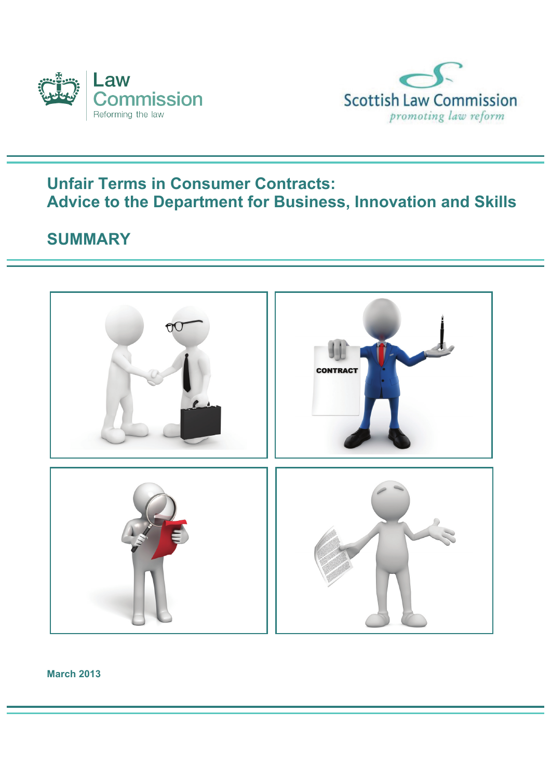



## **Unfair Terms in Consumer Contracts: Advice to the Department for Business, Innovation and Skills**

## **SUMMARY**



**March 2013**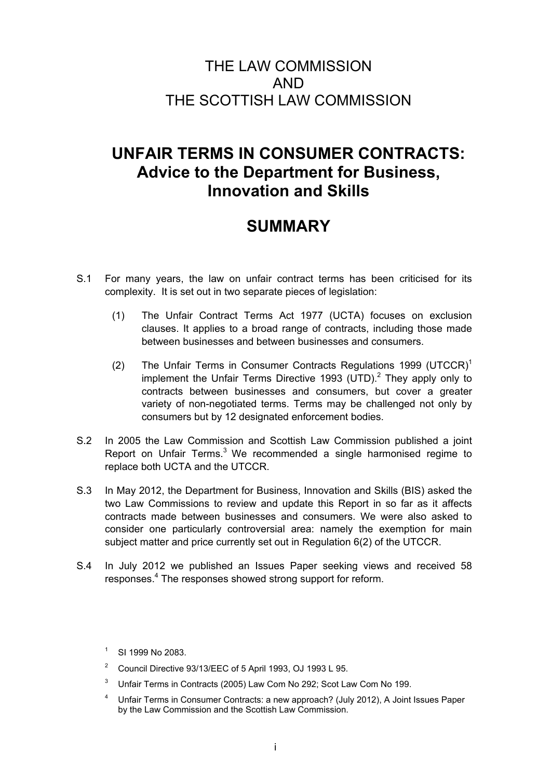## THE LAW COMMISSION AND THE SCOTTISH LAW COMMISSION

# **UNFAIR TERMS IN CONSUMER CONTRACTS: Advice to the Department for Business, Innovation and Skills**

# **SUMMARY**

- S.1 For many years, the law on unfair contract terms has been criticised for its complexity. It is set out in two separate pieces of legislation:
	- (1) The Unfair Contract Terms Act 1977 (UCTA) focuses on exclusion clauses. It applies to a broad range of contracts, including those made between businesses and between businesses and consumers.
	- (2) The Unfair Terms in Consumer Contracts Regulations 1999 (UTCCR)<sup>1</sup> implement the Unfair Terms Directive 1993 (UTD). $^2$  They apply only to contracts between businesses and consumers, but cover a greater variety of non-negotiated terms. Terms may be challenged not only by consumers but by 12 designated enforcement bodies.
- S.2 In 2005 the Law Commission and Scottish Law Commission published a joint Report on Unfair Terms.<sup>3</sup> We recommended a single harmonised regime to replace both UCTA and the UTCCR.
- S.3 In May 2012, the Department for Business, Innovation and Skills (BIS) asked the two Law Commissions to review and update this Report in so far as it affects contracts made between businesses and consumers. We were also asked to consider one particularly controversial area: namely the exemption for main subject matter and price currently set out in Regulation 6(2) of the UTCCR.
- S.4 In July 2012 we published an Issues Paper seeking views and received 58 responses.<sup>4</sup> The responses showed strong support for reform.

- 2 Council Directive 93/13/EEC of 5 April 1993, OJ 1993 L 95.
- 3 Unfair Terms in Contracts (2005) Law Com No 292; Scot Law Com No 199.
- 4 Unfair Terms in Consumer Contracts: a new approach? (July 2012), A Joint Issues Paper by the Law Commission and the Scottish Law Commission.

<sup>1</sup> SI 1999 No 2083.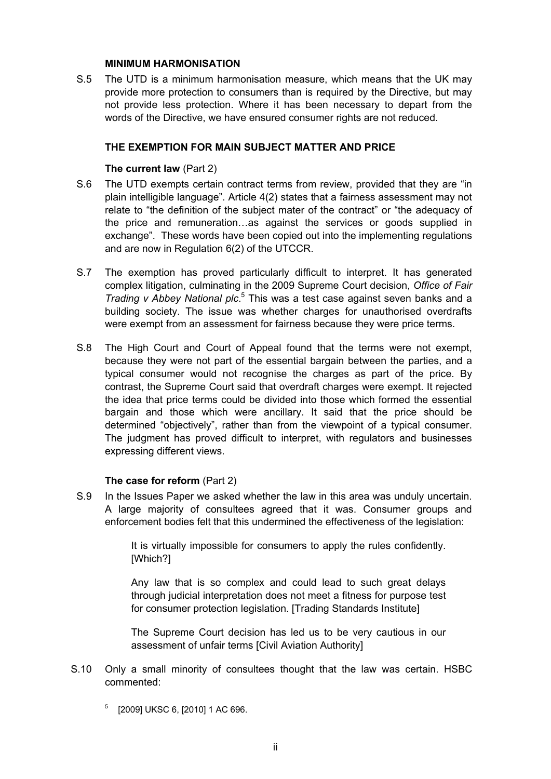#### **MINIMUM HARMONISATION**

S.5 The UTD is a minimum harmonisation measure, which means that the UK may provide more protection to consumers than is required by the Directive, but may not provide less protection. Where it has been necessary to depart from the words of the Directive, we have ensured consumer rights are not reduced.

#### **THE EXEMPTION FOR MAIN SUBJECT MATTER AND PRICE**

#### **The current law** (Part 2)

- S.6 The UTD exempts certain contract terms from review, provided that they are "in plain intelligible language". Article 4(2) states that a fairness assessment may not relate to "the definition of the subject mater of the contract" or "the adequacy of the price and remuneration…as against the services or goods supplied in exchange". These words have been copied out into the implementing regulations and are now in Regulation 6(2) of the UTCCR.
- S.7 The exemption has proved particularly difficult to interpret. It has generated complex litigation, culminating in the 2009 Supreme Court decision, *Office of Fair*  Trading v Abbey National plc.<sup>5</sup> This was a test case against seven banks and a building society. The issue was whether charges for unauthorised overdrafts were exempt from an assessment for fairness because they were price terms.
- S.8 The High Court and Court of Appeal found that the terms were not exempt, because they were not part of the essential bargain between the parties, and a typical consumer would not recognise the charges as part of the price. By contrast, the Supreme Court said that overdraft charges were exempt. It rejected the idea that price terms could be divided into those which formed the essential bargain and those which were ancillary. It said that the price should be determined "objectively", rather than from the viewpoint of a typical consumer. The judgment has proved difficult to interpret, with regulators and businesses expressing different views.

## **The case for reform (Part 2)**

S.9 In the Issues Paper we asked whether the law in this area was unduly uncertain. A large majority of consultees agreed that it was. Consumer groups and enforcement bodies felt that this undermined the effectiveness of the legislation:

> It is virtually impossible for consumers to apply the rules confidently. [Which?]

> Any law that is so complex and could lead to such great delays through judicial interpretation does not meet a fitness for purpose test for consumer protection legislation. [Trading Standards Institute]

> The Supreme Court decision has led us to be very cautious in our assessment of unfair terms [Civil Aviation Authority]

- S.10 Only a small minority of consultees thought that the law was certain. HSBC commented:
	- 5 [2009] UKSC 6, [2010] 1 AC 696.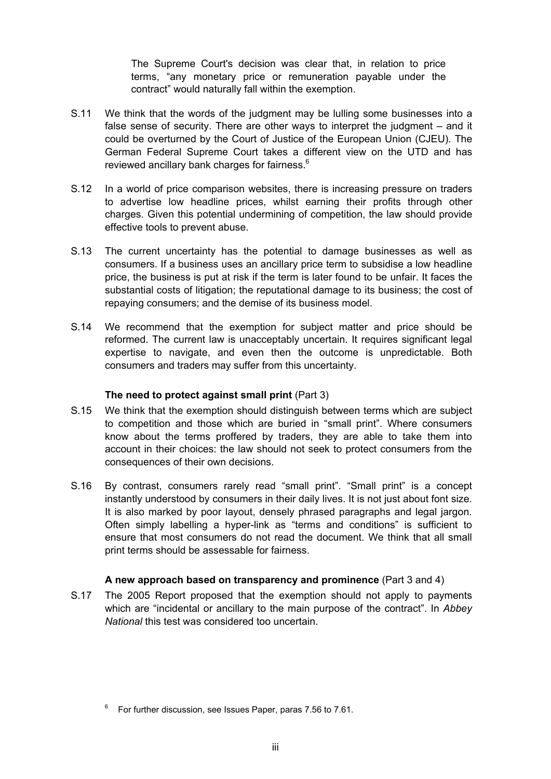The Supreme Court's decision was clear that, in relation to price terms, "any monetary price or remuneration payable under the contract" would naturally fall within the exemption.

- S.11 We think that the words of the judgment may be lulling some businesses into a false sense of security. There are other ways to interpret the judgment – and it could be overturned by the Court of Justice of the European Union (CJEU). The German Federal Supreme Court takes a different view on the UTD and has reviewed ancillary bank charges for fairness. $6$
- S.12 In a world of price comparison websites, there is increasing pressure on traders to advertise low headline prices, whilst earning their profits through other charges. Given this potential undermining of competition, the law should provide effective tools to prevent abuse.
- S.13 The current uncertainty has the potential to damage businesses as well as consumers. If a business uses an ancillary price term to subsidise a low headline price, the business is put at risk if the term is later found to be unfair. It faces the substantial costs of litigation; the reputational damage to its business; the cost of repaying consumers; and the demise of its business model.
- S.14 We recommend that the exemption for subject matter and price should be reformed. The current law is unacceptably uncertain. It requires significant legal expertise to navigate, and even then the outcome is unpredictable. Both consumers and traders may suffer from this uncertainty.

## **The need to protect against small print** (Part 3)

- S.15 We think that the exemption should distinguish between terms which are subject to competition and those which are buried in "small print". Where consumers know about the terms proffered by traders, they are able to take them into account in their choices: the law should not seek to protect consumers from the consequences of their own decisions.
- S.16 By contrast, consumers rarely read "small print". "Small print" is a concept instantly understood by consumers in their daily lives. It is not just about font size. It is also marked by poor layout, densely phrased paragraphs and legal jargon. Often simply labelling a hyper-link as "terms and conditions" is sufficient to ensure that most consumers do not read the document. We think that all small print terms should be assessable for fairness.

## **A new approach based on transparency and prominence** (Part 3 and 4)

S.17 The 2005 Report proposed that the exemption should not apply to payments which are "incidental or ancillary to the main purpose of the contract". In *Abbey National* this test was considered too uncertain.

<sup>6</sup> For further discussion, see Issues Paper, paras 7.56 to 7.61.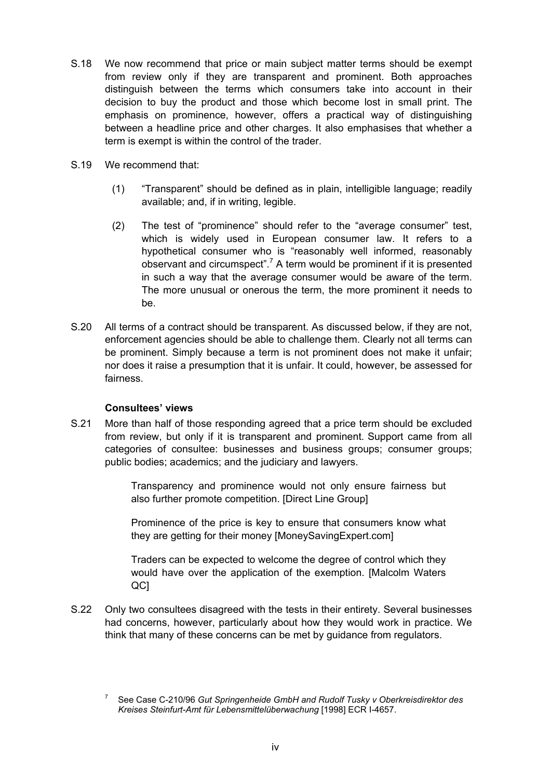- S.18 We now recommend that price or main subject matter terms should be exempt from review only if they are transparent and prominent. Both approaches distinguish between the terms which consumers take into account in their decision to buy the product and those which become lost in small print. The emphasis on prominence, however, offers a practical way of distinguishing between a headline price and other charges. It also emphasises that whether a term is exempt is within the control of the trader.
- S.19 We recommend that:
	- (1) "Transparent" should be defined as in plain, intelligible language; readily available; and, if in writing, legible.
	- (2) The test of "prominence" should refer to the "average consumer" test, which is widely used in European consumer law. It refers to a hypothetical consumer who is "reasonably well informed, reasonably observant and circumspect".<sup>7</sup> A term would be prominent if it is presented in such a way that the average consumer would be aware of the term. The more unusual or onerous the term, the more prominent it needs to be.
- S.20 All terms of a contract should be transparent. As discussed below, if they are not, enforcement agencies should be able to challenge them. Clearly not all terms can be prominent. Simply because a term is not prominent does not make it unfair; nor does it raise a presumption that it is unfair. It could, however, be assessed for fairness.

## **Consultees' views**

S.21 More than half of those responding agreed that a price term should be excluded from review, but only if it is transparent and prominent. Support came from all categories of consultee: businesses and business groups; consumer groups; public bodies; academics; and the judiciary and lawyers.

> Transparency and prominence would not only ensure fairness but also further promote competition. [Direct Line Group]

> Prominence of the price is key to ensure that consumers know what they are getting for their money [MoneySavingExpert.com]

> Traders can be expected to welcome the degree of control which they would have over the application of the exemption. [Malcolm Waters QC]

S.22 Only two consultees disagreed with the tests in their entirety. Several businesses had concerns, however, particularly about how they would work in practice. We think that many of these concerns can be met by guidance from regulators.

<sup>7</sup> See Case C-210/96 *Gut Springenheide GmbH and Rudolf Tusky v Oberkreisdirektor des Kreises Steinfurt-Amt für Lebensmittelüberwachung* [1998] ECR I-4657.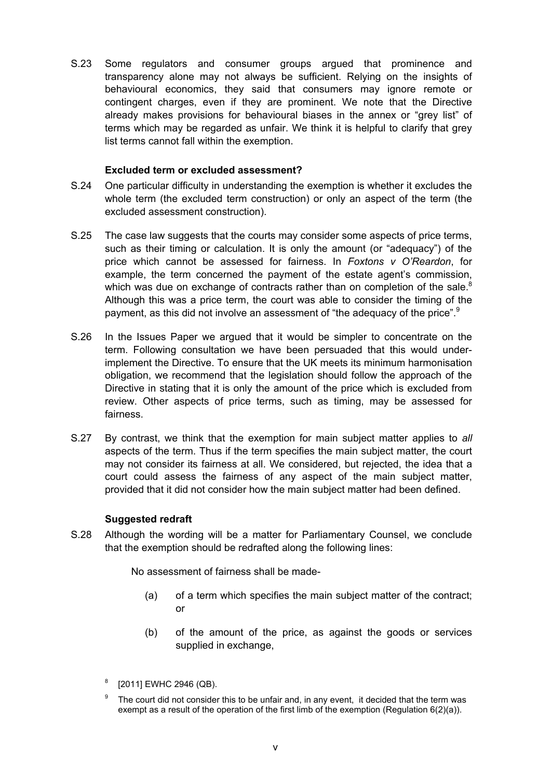S.23 Some regulators and consumer groups argued that prominence and transparency alone may not always be sufficient. Relying on the insights of behavioural economics, they said that consumers may ignore remote or contingent charges, even if they are prominent. We note that the Directive already makes provisions for behavioural biases in the annex or "grey list" of terms which may be regarded as unfair. We think it is helpful to clarify that grey list terms cannot fall within the exemption.

## **Excluded term or excluded assessment?**

- S.24 One particular difficulty in understanding the exemption is whether it excludes the whole term (the excluded term construction) or only an aspect of the term (the excluded assessment construction).
- S.25 The case law suggests that the courts may consider some aspects of price terms, such as their timing or calculation. It is only the amount (or "adequacy") of the price which cannot be assessed for fairness. In *Foxtons v O'Reardon*, for example, the term concerned the payment of the estate agent's commission, which was due on exchange of contracts rather than on completion of the sale. $8$ Although this was a price term, the court was able to consider the timing of the payment, as this did not involve an assessment of "the adequacy of the price".<sup>9</sup>
- S.26 In the Issues Paper we argued that it would be simpler to concentrate on the term. Following consultation we have been persuaded that this would underimplement the Directive. To ensure that the UK meets its minimum harmonisation obligation, we recommend that the legislation should follow the approach of the Directive in stating that it is only the amount of the price which is excluded from review. Other aspects of price terms, such as timing, may be assessed for fairness.
- S.27 By contrast, we think that the exemption for main subject matter applies to *all* aspects of the term. Thus if the term specifies the main subject matter, the court may not consider its fairness at all. We considered, but rejected, the idea that a court could assess the fairness of any aspect of the main subject matter, provided that it did not consider how the main subject matter had been defined.

## **Suggested redraft**

S.28 Although the wording will be a matter for Parliamentary Counsel, we conclude that the exemption should be redrafted along the following lines:

No assessment of fairness shall be made-

- (a) of a term which specifies the main subject matter of the contract; or
- (b) of the amount of the price, as against the goods or services supplied in exchange.
- 8 [2011] EWHC 2946 (QB).
- 9 The court did not consider this to be unfair and, in any event, it decided that the term was exempt as a result of the operation of the first limb of the exemption (Regulation 6(2)(a)).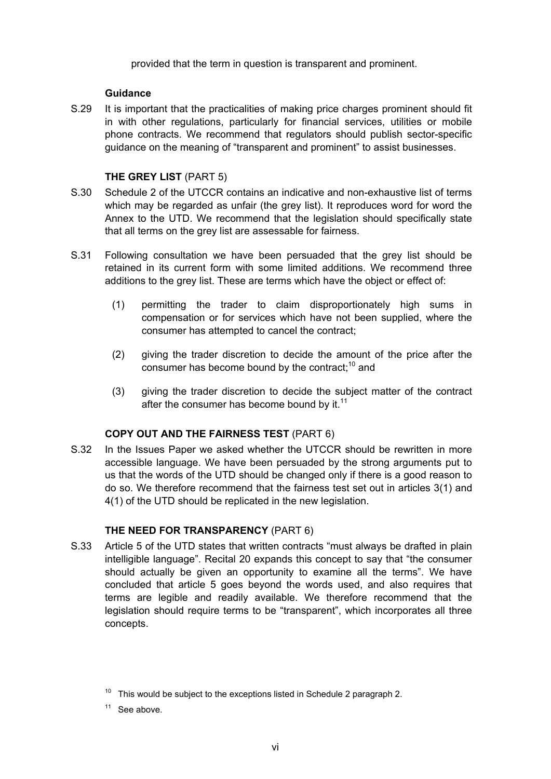provided that the term in question is transparent and prominent.

## **Guidance**

S.29 It is important that the practicalities of making price charges prominent should fit in with other regulations, particularly for financial services, utilities or mobile phone contracts. We recommend that regulators should publish sector-specific guidance on the meaning of "transparent and prominent" to assist businesses.

## **THE GREY LIST** (PART 5)

- S.30 Schedule 2 of the UTCCR contains an indicative and non-exhaustive list of terms which may be regarded as unfair (the grey list). It reproduces word for word the Annex to the UTD. We recommend that the legislation should specifically state that all terms on the grey list are assessable for fairness.
- S.31 Following consultation we have been persuaded that the grey list should be retained in its current form with some limited additions. We recommend three additions to the grey list. These are terms which have the object or effect of:
	- (1) permitting the trader to claim disproportionately high sums in compensation or for services which have not been supplied, where the consumer has attempted to cancel the contract;
	- (2) giving the trader discretion to decide the amount of the price after the consumer has become bound by the contract;<sup>10</sup> and
	- (3) giving the trader discretion to decide the subject matter of the contract after the consumer has become bound by it. $11$

## **COPY OUT AND THE FAIRNESS TEST** (PART 6)

S.32 In the Issues Paper we asked whether the UTCCR should be rewritten in more accessible language. We have been persuaded by the strong arguments put to us that the words of the UTD should be changed only if there is a good reason to do so. We therefore recommend that the fairness test set out in articles 3(1) and 4(1) of the UTD should be replicated in the new legislation.

## **THE NEED FOR TRANSPARENCY** (PART 6)

S.33 Article 5 of the UTD states that written contracts "must always be drafted in plain intelligible language". Recital 20 expands this concept to say that "the consumer should actually be given an opportunity to examine all the terms". We have concluded that article 5 goes beyond the words used, and also requires that terms are legible and readily available. We therefore recommend that the legislation should require terms to be "transparent", which incorporates all three concepts.

 $10$  This would be subject to the exceptions listed in Schedule 2 paragraph 2.

 $11$  See above.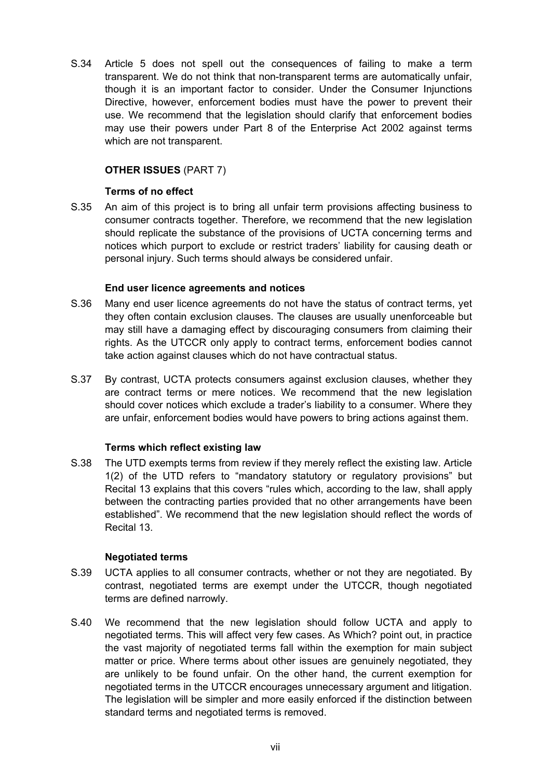S.34 Article 5 does not spell out the consequences of failing to make a term transparent. We do not think that non-transparent terms are automatically unfair, though it is an important factor to consider. Under the Consumer Injunctions Directive, however, enforcement bodies must have the power to prevent their use. We recommend that the legislation should clarify that enforcement bodies may use their powers under Part 8 of the Enterprise Act 2002 against terms which are not transparent.

## **OTHER ISSUES** (PART 7)

## **Terms of no effect**

S.35 An aim of this project is to bring all unfair term provisions affecting business to consumer contracts together. Therefore, we recommend that the new legislation should replicate the substance of the provisions of UCTA concerning terms and notices which purport to exclude or restrict traders' liability for causing death or personal injury. Such terms should always be considered unfair.

## **End user licence agreements and notices**

- S.36 Many end user licence agreements do not have the status of contract terms, yet they often contain exclusion clauses. The clauses are usually unenforceable but may still have a damaging effect by discouraging consumers from claiming their rights. As the UTCCR only apply to contract terms, enforcement bodies cannot take action against clauses which do not have contractual status.
- S.37 By contrast, UCTA protects consumers against exclusion clauses, whether they are contract terms or mere notices. We recommend that the new legislation should cover notices which exclude a trader's liability to a consumer. Where they are unfair, enforcement bodies would have powers to bring actions against them.

## **Terms which reflect existing law**

S.38 The UTD exempts terms from review if they merely reflect the existing law. Article 1(2) of the UTD refers to "mandatory statutory or regulatory provisions" but Recital 13 explains that this covers "rules which, according to the law, shall apply between the contracting parties provided that no other arrangements have been established". We recommend that the new legislation should reflect the words of Recital 13.

## **Negotiated terms**

- S.39 UCTA applies to all consumer contracts, whether or not they are negotiated. By contrast, negotiated terms are exempt under the UTCCR, though negotiated terms are defined narrowly.
- S.40 We recommend that the new legislation should follow UCTA and apply to negotiated terms. This will affect very few cases. As Which? point out, in practice the vast majority of negotiated terms fall within the exemption for main subject matter or price. Where terms about other issues are genuinely negotiated, they are unlikely to be found unfair. On the other hand, the current exemption for negotiated terms in the UTCCR encourages unnecessary argument and litigation. The legislation will be simpler and more easily enforced if the distinction between standard terms and negotiated terms is removed.